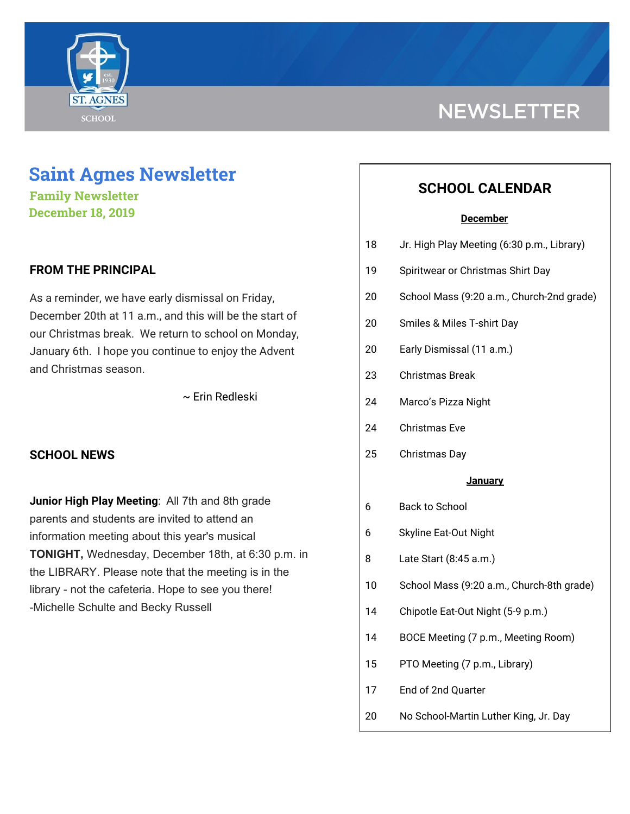

# **Saint Agnes Newsletter**

**Family Newsletter December 18, 2019**

## **FROM THE PRINCIPAL**

As a reminder, we have early dismissal on Friday, December 20th at 11 a.m., and this will be the start of our Christmas break. We return to school on Monday, January 6th. I hope you continue to enjoy the Advent and Christmas season.

~ Erin Redleski

## **SCHOOL NEWS**

**Junior High Play Meeting**: All 7th and 8th grade parents and students are invited to attend an information meeting about this year's musical **TONIGHT,** Wednesday, December 18th, at 6:30 p.m. in the LIBRARY. Please note that the meeting is in the library - not the cafeteria. Hope to see you there! -Michelle Schulte and Becky Russell

# **NEWSLETTER**

# **SCHOOL CALENDAR**

### **December**

| 18 | Jr. High Play Meeting (6:30 p.m., Library) |
|----|--------------------------------------------|
|    |                                            |

- 19 Spiritwear or Christmas Shirt Day
- 20 School Mass (9:20 a.m., Church-2nd grade)
- 20 Smiles & Miles T-shirt Day
- 20 Early Dismissal (11 a.m.)
- 23 Christmas Break
- 24 Marco's Pizza Night
- 24 Christmas Eve
- 25 Christmas Day

### **January**

- 6 Back to School
- 6 Skyline Eat-Out Night
- 8 Late Start (8:45 a.m.)
- 10 School Mass (9:20 a.m., Church-8th grade)
- 14 Chipotle Eat-Out Night (5-9 p.m.)
- 14 BOCE Meeting (7 p.m., Meeting Room)
- 15 PTO Meeting (7 p.m., Library)
- 17 End of 2nd Quarter
- 20 No School-Martin Luther King, Jr. Day